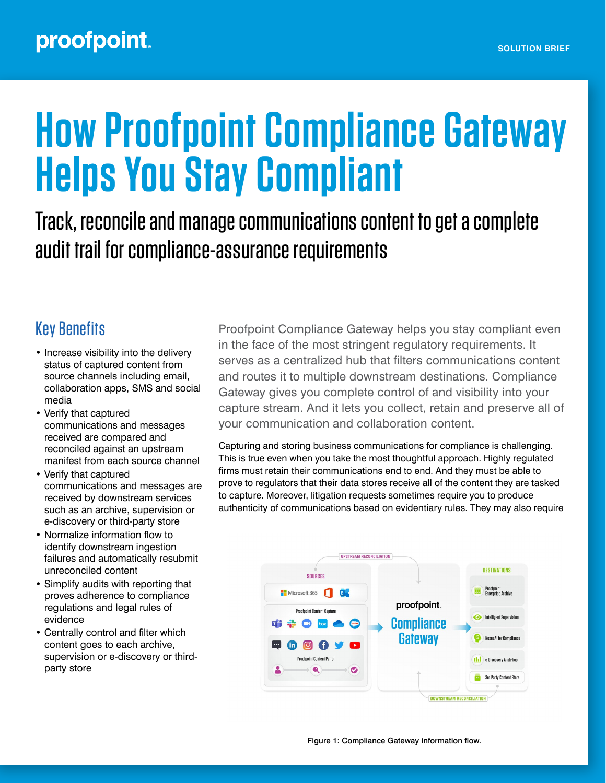# **How Proofpoint Compliance Gateway Helps You Stay Compliant**

Track, reconcile and manage communications content to get a complete audit trail for compliance-assurance requirements

## Key Benefits

- Increase visibility into the delivery status of captured content from source channels including email, collaboration apps, SMS and social media
- Verify that captured communications and messages received are compared and reconciled against an upstream manifest from each source channel
- Verify that captured communications and messages are received by downstream services such as an archive, supervision or e-discovery or third-party store
- Normalize information flow to identify downstream ingestion failures and automatically resubmit unreconciled content
- Simplify audits with reporting that proves adherence to compliance regulations and legal rules of evidence
- Centrally control and filter which content goes to each archive, supervision or e-discovery or thirdparty store

Proofpoint Compliance Gateway helps you stay compliant even in the face of the most stringent regulatory requirements. It serves as a centralized hub that filters communications content and routes it to multiple downstream destinations. Compliance Gateway gives you complete control of and visibility into your capture stream. And it lets you collect, retain and preserve all of your communication and collaboration content.

Capturing and storing business communications for compliance is challenging. This is true even when you take the most thoughtful approach. Highly regulated firms must retain their communications end to end. And they must be able to prove to regulators that their data stores receive all of the content they are tasked to capture. Moreover, litigation requests sometimes require you to produce authenticity of communications based on evidentiary rules. They may also require

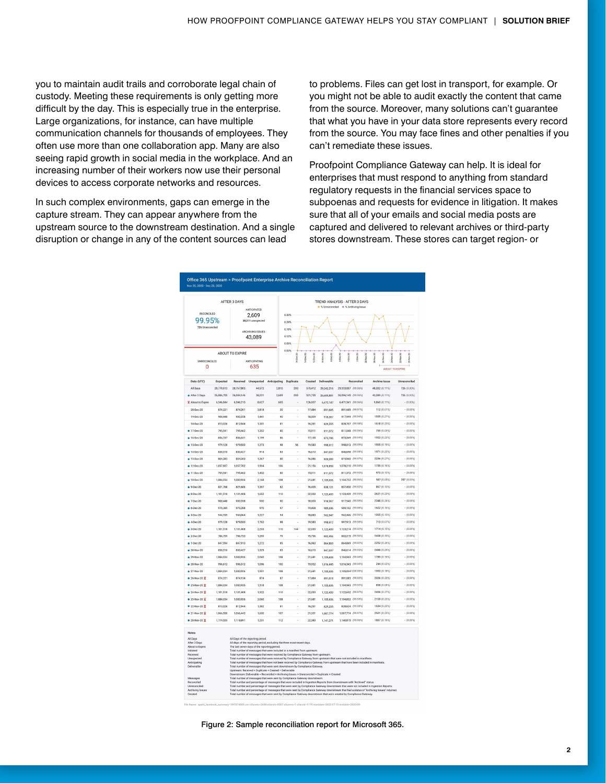you to maintain audit trails and corroborate legal chain of custody. Meeting these requirements is only getting more difficult by the day. This is especially true in the enterprise. Large organizations, for instance, can have multiple communication channels for thousands of employees. They often use more than one collaboration app. Many are also seeing rapid growth in social media in the workplace. And an increasing number of their workers now use their personal devices to access corporate networks and resources.

In such complex environments, gaps can emerge in the capture stream. They can appear anywhere from the upstream source to the downstream destination. And a single disruption or change in any of the content sources can lead

to problems. Files can get lost in transport, for example. Or you might not be able to audit exactly the content that came from the source. Moreover, many solutions can't guarantee that what you have in your data store represents every record from the source. You may face fines and other penalties if you can't remediate these issues.

Proofpoint Compliance Gateway can help. It is ideal for enterprises that must respond to anything from standard regulatory requests in the financial services space to subpoenas and requests for evidence in litigation. It makes sure that all of your emails and social media posts are captured and delivered to relevant archives or third-party stores downstream. These stores can target region- or

| AFTER 3 DAYS                           |            |                            |                                                                                                                         |              | TREND ANALYSIS - AFTER 3 DAYS |                      |                          |                                                                                                                                                                                                                                                       |                                                  |                               |
|----------------------------------------|------------|----------------------------|-------------------------------------------------------------------------------------------------------------------------|--------------|-------------------------------|----------------------|--------------------------|-------------------------------------------------------------------------------------------------------------------------------------------------------------------------------------------------------------------------------------------------------|--------------------------------------------------|-------------------------------|
| ANTICIPATED                            |            |                            | · % Unreconciled · % Archiving Issue                                                                                    |              |                               |                      |                          |                                                                                                                                                                                                                                                       |                                                  |                               |
| RECONCILED<br>99.95%                   |            | 2,609<br>38.211 unexpected |                                                                                                                         |              | 0.30%                         |                      |                          |                                                                                                                                                                                                                                                       |                                                  |                               |
|                                        |            |                            |                                                                                                                         |              | 0.24%                         |                      |                          |                                                                                                                                                                                                                                                       |                                                  |                               |
| 726 Unreconciled                       |            |                            | ARCHIVING ISSUES                                                                                                        |              | 0.18%                         |                      |                          |                                                                                                                                                                                                                                                       |                                                  |                               |
|                                        |            |                            | 43,089                                                                                                                  |              | 0.12%                         |                      |                          |                                                                                                                                                                                                                                                       |                                                  |                               |
|                                        |            |                            |                                                                                                                         |              | 0.06%                         |                      |                          |                                                                                                                                                                                                                                                       |                                                  |                               |
|                                        |            |                            |                                                                                                                         |              | 0.00%                         |                      |                          |                                                                                                                                                                                                                                                       |                                                  |                               |
| <b>ABOUT TO EXPIRE</b><br>ANTICIPATING |            |                            |                                                                                                                         |              | 16-Dec-20                     | 44060-20<br>2-040-20 | 0-0ec-20<br><b>Rosed</b> | \$-000-20<br>40ec20<br>20ee20                                                                                                                                                                                                                         | 30-Nov-20<br>28 Nov-20<br>26-Nov-20<br>24 Nov 20 | <b>02-MAN-22</b><br>20-Nov-20 |
| UNRECONCILED<br>0                      |            | 635                        |                                                                                                                         |              |                               |                      |                          |                                                                                                                                                                                                                                                       |                                                  |                               |
|                                        |            |                            |                                                                                                                         |              |                               |                      |                          |                                                                                                                                                                                                                                                       |                                                  | ABOUT TO EXPIRE               |
| Date (UTC)                             | Expected   | Received                   | Unexpected                                                                                                              | Anticipating | Duplicate                     | Created              | Deliverable              | Reconciled                                                                                                                                                                                                                                            | <b>Archive Issue</b>                             | Unreconciled                  |
| All Days                               | 28,770.613 | 28.767.803                 | 44.572                                                                                                                  | 2,810        | 200                           | 575.412              | 29,343,216               | 29,333,007 (99.96%)                                                                                                                                                                                                                                   | 48,002 (0.11%)                                   | 726 (0.00%)                   |
| After 3 Days                           | 26,086,755 | 26.084.146                 | 38.221                                                                                                                  | 2,609        | 200                           | 521.735              | 26,605,881               | 26.596.145 (99.96%)                                                                                                                                                                                                                                   | 43,089 (0.11%)                                   | 726 (0.00%)                   |
| & About to Expire                      | 6,346,844  | 6,346,210                  | 8,627                                                                                                                   | 635          | ł,                            | 126,937              | 6,473,147                | 6,471,341 (99.96%)                                                                                                                                                                                                                                    | 9,860 (0.11%)                                    | $-(0.00%$                     |
| 20-Dec-20                              | 874.221    | 874,201                    | 3,818                                                                                                                   | $\infty$     |                               | 17,484               | 891,685                  | 891,685 (99.97%)                                                                                                                                                                                                                                      | 112 (0.01%)                                      | $-(0.003)$                    |
| 19-Dec-20                              | 900,448    | 900,358                    | 1,441                                                                                                                   | 90           |                               | 18,009               | 918,367                  | 917,999 (99.94%)                                                                                                                                                                                                                                      | 1939 (0.21%)                                     | $-(0.00\%)$                   |
| 18-Dec-20                              | 813,026    | 812,944                    | 1,301                                                                                                                   | 81           | ×,                            | 16.261               | 829,205                  | 828,707 (99.98%)                                                                                                                                                                                                                                      | 1618 (0.20%)                                     | $-(0.002)$                    |
| • 17-Dec-20                            | 795,541    | 795,462                    | 1,352                                                                                                                   | 80           | ×                             | 15,911               | 811,372                  | 811,048 (99.96%)                                                                                                                                                                                                                                      | 759 (0.09%)                                      | $- (0.002)$                   |
| $-16-Dec-20$                           | 856.737    | 856.651                    | 1.199                                                                                                                   | 86           | ×.                            | 17.135               | 873,786                  | 873.349 (99.94%)                                                                                                                                                                                                                                      | 1953 (0.22%)                                     | $- (0.003)$                   |
| $-15-Dec-20$                           | 979,128    | 979,030                    | 1,273                                                                                                                   | 98           | 56                            | 19,583               | 998,612                  | 998,013 (99.99%)                                                                                                                                                                                                                                      | 1905 (0.19%)                                     | $- (0.002)$                   |
| $-14-Dec-20$                           | 830,510    | 830,427                    | 914                                                                                                                     | 83           |                               | 16,610               | 847,037                  | 846,698 (99.98%)                                                                                                                                                                                                                                      | 1971 (0.23%)                                     | $- (0.029)$                   |
| $• 13-Dec-20$                          | 804,283    | 804,203                    | 1,367                                                                                                                   | 80           | į,                            | 16,086               | 820,289                  | 819,960 (99.97%)                                                                                                                                                                                                                                      | 2236 (0.27%)                                     | $- (0.003)$                   |
| $0$ 12-Dec-20                          | 1,057,807  | 1,057,702                  | 1,904                                                                                                                   | 106          | ł,                            | 21,156               | 1,078,858                | 1,078,210 (99.94%)                                                                                                                                                                                                                                    | 1739 (0.16%)                                     | $-(0.00%$                     |
| $• 11-Dec-20$                          | 795,541    | 795,462                    | 1,432                                                                                                                   | 80           | ł                             | 15,911               | 811,372                  | 811,372 (99.95%)                                                                                                                                                                                                                                      | 973 (0.12%)                                      | $- (0.00\%)$                  |
| $-10 - Dec-20$                         | 1,084,034  | 1,083,926                  | 2168                                                                                                                    | 108          |                               | 21,681               | 1,105,606                | 1,104,722 (99.96%)                                                                                                                                                                                                                                    | 587 (0.05%)                                      | 297 (0.03%)                   |
| $9 - Dec - 20$                         | 821,768    | 821,686                    | 1,397                                                                                                                   | 82           | ï                             | 16,435               | 838,121                  | 837,450 (99.92%)                                                                                                                                                                                                                                      | 867 (0.10%)                                      | $-(0.002)$                    |
| $8 - Dec - 20$                         | 1,101,518  | 1,101,408                  | 1,652                                                                                                                   | 110          | ×,                            | 22,030               | 1.123.439                | 1,123,439 (99.95%)                                                                                                                                                                                                                                    | 2621 (0.23%)                                     | $- (0.002)$                   |
| • 7-Dec-20                             | 900,448    | 900,358                    | 900                                                                                                                     | 90           | ł,                            | 18,009               | 918.367                  | 917,540 (99.99%)                                                                                                                                                                                                                                      | 2348 (0.26%)                                     | $-(0.001)$                    |
| $6 - Dec - 20$                         | 970.385    | 970.28B                    | 970                                                                                                                     | 97           | i,                            | 19,408               | 989 695                  | 989.102 (99.98%)                                                                                                                                                                                                                                      | 1622 (0.16%)                                     | $- (0.002)$                   |
| $65-Dec-20$                            | 944,159    | 944.064                    | 1.227                                                                                                                   | 94           | ×.                            | 18,883               | 962,947                  | 962.466 (99.96%)                                                                                                                                                                                                                                      | 1005 (0.10%)                                     | $- (0.003)$                   |
| $-4$ -Dec-20                           | 979.128    | 979.030                    | 1,762                                                                                                                   | 98           | i,                            | 19.583               | 998,612                  | 997.913 (99.98%)                                                                                                                                                                                                                                      | 713 (0.07%)                                      | $- (0.003)$                   |
| $93-Dec-20$                            | 1,101,518  | 1,101,408                  | 2,203                                                                                                                   | 110          | 144                           | 22,030               | 1,123,439                | 1,123,214 (99.92%)                                                                                                                                                                                                                                    | 1714 (0.15%)                                     | $- (0.008)$                   |
| $2$ -Dec-20                            | 786,799    | 786,720                    | 1,259                                                                                                                   | 79           | i,                            | 15,736               | 802,456                  | 802.215 (99.96%)                                                                                                                                                                                                                                      | 2408 (0.30%)                                     | $- (0.003)$                   |
| $-1$ -Dec-20                           | 847,994    | 847,910                    | 1,272                                                                                                                   | 85           |                               | 16,960               | 864,869                  | 864,869 (99.92%)                                                                                                                                                                                                                                      | 2252 (0.26%)                                     | $- (0.003)$                   |
| $\bullet$ 30-Nov-20                    | 830,510    | 830,427                    | 1,329                                                                                                                   | 83           |                               | 16,610               | 847,037                  | 846,614 (99.95%)                                                                                                                                                                                                                                      | 2488 (0.29%)                                     | $- (0.00\%)$                  |
| $29-Nov-20$                            | 1,084,034  | 1,083,926                  | 2,060                                                                                                                   | 108          |                               | 21,681               | 1,105,606                | 1.104.943 (99.94%)                                                                                                                                                                                                                                    | 1789 (0.16%)                                     | $-(0.00\%)$                   |
| $28$ -Nov-20                           | 996,612    | 996,512                    | 1,096                                                                                                                   | 100          | i,                            | 19,932               | 1,016,445                | 1,016,343 (99.94%)                                                                                                                                                                                                                                    | 244 (0.02%)                                      | $-(0.002)$                    |
| $27-Nov-20$                            | 1,084,034  | 1,083,926                  | 1,951                                                                                                                   | 108          | š                             | 21,681               | 1.105.606                | 1,105,054 7(00.00%)                                                                                                                                                                                                                                   | 1953 (0.18%)                                     | $-(0.002)$                    |
| $-26$ -Nov-20 $-$                      | 874,221    | 874,134                    | 874                                                                                                                     | 87           | i,                            | 17,484               | 891,618                  | 891,083 (99.93%)                                                                                                                                                                                                                                      | 2026 (0.23%)                                     | $-(0.002)$                    |
| $925-Nov-20$                           | 1.084.034  | 1.083.926                  | 1.518                                                                                                                   | 108          | ×                             | 21,681               | 1.105.606                | 1.104.943 (99.93%)                                                                                                                                                                                                                                    | 858 (0.08%)                                      | $- (0.003)$                   |
| $-24$ -Nov-20 $-2$                     | 1,101,518  | 1,101,408                  | 1,322                                                                                                                   | 110          | ł.                            | 22,030               | 1,123,439                | 1,122,652 (99.97%)                                                                                                                                                                                                                                    | 2406 (0.21%)                                     | $- (0.003)$                   |
| $\bullet$ 23 Nov 20 $\%$               | 1.084.034  | 1,083,926                  | 2.060                                                                                                                   | 108          | ×,                            | 21,681               | 1,105,606                | 1,104,832 (99.99%)                                                                                                                                                                                                                                    | 2159 (0.20%)                                     | $- (0.003)$                   |
| $• 22$ -Nov-20 $\Sigma$                | 813,026    | 812,944                    | 1,382                                                                                                                   | 81           | i,                            | 16,261               | 829,205                  | 828,624 (99.98%)                                                                                                                                                                                                                                      | 1634 (0.20%)                                     | $- (0.00\%)$                  |
| $\bullet$ 21-Nov-20 $\S$               | 1,066,550  | 1,066,443                  | 1,600                                                                                                                   | 107          |                               | 21,331               | 1,087,774                | 1,087,774 (99.97%)                                                                                                                                                                                                                                    | 2501 (0.23%)                                     | $- (0.003)$                   |
| $\bullet$ 20-Nov-20 $\Sigma$           | 1,119,003  | 1,118,891                  | 1,231                                                                                                                   | 112          |                               | 22,380               | 1,141,271                | 1,140,815 (99.96%)                                                                                                                                                                                                                                    | 1867 (0.16%)                                     | $- (0.00\%)$                  |
|                                        |            |                            |                                                                                                                         |              |                               |                      |                          |                                                                                                                                                                                                                                                       |                                                  |                               |
| Notes                                  |            |                            |                                                                                                                         |              |                               |                      |                          |                                                                                                                                                                                                                                                       |                                                  |                               |
| All Days<br>After 3 Days               |            |                            | All Days of the reporting period.<br>All days of the reporting period, excluding the three most recent days.            |              |                               |                      |                          |                                                                                                                                                                                                                                                       |                                                  |                               |
| About to Expire<br>Initiated           |            |                            | The last seven days of the reporting period.<br>Total number of messages that were included in a manifest from upstream |              |                               |                      |                          |                                                                                                                                                                                                                                                       |                                                  |                               |
| Received                               |            |                            | Total number of messages that were received by Compliance Gateway from upstream.                                        |              |                               |                      |                          |                                                                                                                                                                                                                                                       |                                                  |                               |
| Unexpected<br>Anticipating             |            |                            |                                                                                                                         |              |                               |                      |                          | Total number of messages that were received by Compliance Gateway from upstream that were not included in manifests<br>Total number of messages that have not been received by Compliance Gateway from upstream that have been included in manifests. |                                                  |                               |
|                                        |            |                            |                                                                                                                         |              |                               |                      |                          |                                                                                                                                                                                                                                                       |                                                  |                               |

Figure 2: Sample reconciliation report for Microsoft 365.